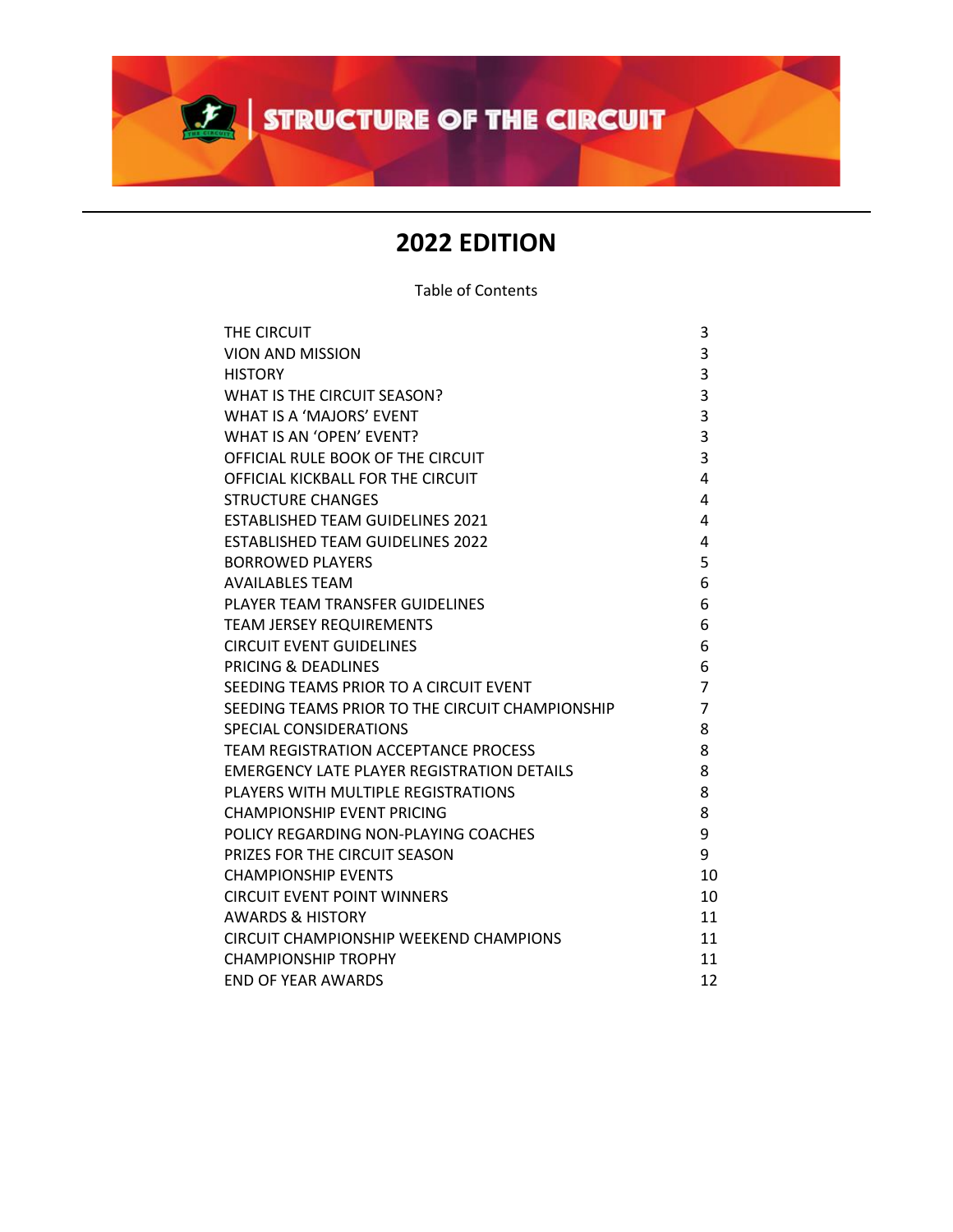

# **2022 EDITION**

Table of Contents

| THE CIRCUIT                                       | 3              |
|---------------------------------------------------|----------------|
| <b>VION AND MISSION</b>                           | 3              |
| <b>HISTORY</b>                                    | 3              |
| WHAT IS THE CIRCUIT SEASON?                       | 3              |
| WHAT IS A 'MAJORS' EVENT                          | 3              |
| WHAT IS AN 'OPEN' EVENT?                          | 3              |
| OFFICIAL RULE BOOK OF THE CIRCUIT                 | 3              |
| OFFICIAL KICKBALL FOR THE CIRCUIT                 | 4              |
| <b>STRUCTURE CHANGES</b>                          | 4              |
| <b>ESTABLISHED TEAM GUIDELINES 2021</b>           | 4              |
| <b>ESTABLISHED TEAM GUIDELINES 2022</b>           | 4              |
| <b>BORROWED PLAYERS</b>                           | 5              |
| <b>AVAILABLES TEAM</b>                            | 6              |
| PLAYER TEAM TRANSFER GUIDELINES                   | 6              |
| <b>TEAM JERSEY REQUIREMENTS</b>                   | 6              |
| <b>CIRCUIT EVENT GUIDELINES</b>                   | 6              |
| <b>PRICING &amp; DEADLINES</b>                    | 6              |
| SEEDING TEAMS PRIOR TO A CIRCUIT EVENT            | 7              |
| SEEDING TEAMS PRIOR TO THE CIRCUIT CHAMPIONSHIP   | $\overline{7}$ |
| <b>SPECIAL CONSIDERATIONS</b>                     | 8              |
| <b>TEAM REGISTRATION ACCEPTANCE PROCESS</b>       | 8              |
| <b>EMERGENCY LATE PLAYER REGISTRATION DETAILS</b> | 8              |
| PLAYERS WITH MULTIPLE REGISTRATIONS               | 8              |
| CHAMPIONSHIP EVENT PRICING                        | 8              |
| POLICY REGARDING NON-PLAYING COACHES              | 9              |
| PRIZES FOR THE CIRCUIT SEASON                     | 9              |
| <b>CHAMPIONSHIP EVENTS</b>                        | 10             |
| <b>CIRCUIT EVENT POINT WINNERS</b>                | 10             |
| <b>AWARDS &amp; HISTORY</b>                       | 11             |
| CIRCUIT CHAMPIONSHIP WEEKEND CHAMPIONS            | 11             |
| <b>CHAMPIONSHIP TROPHY</b>                        | 11             |
| <b>END OF YEAR AWARDS</b>                         | 12             |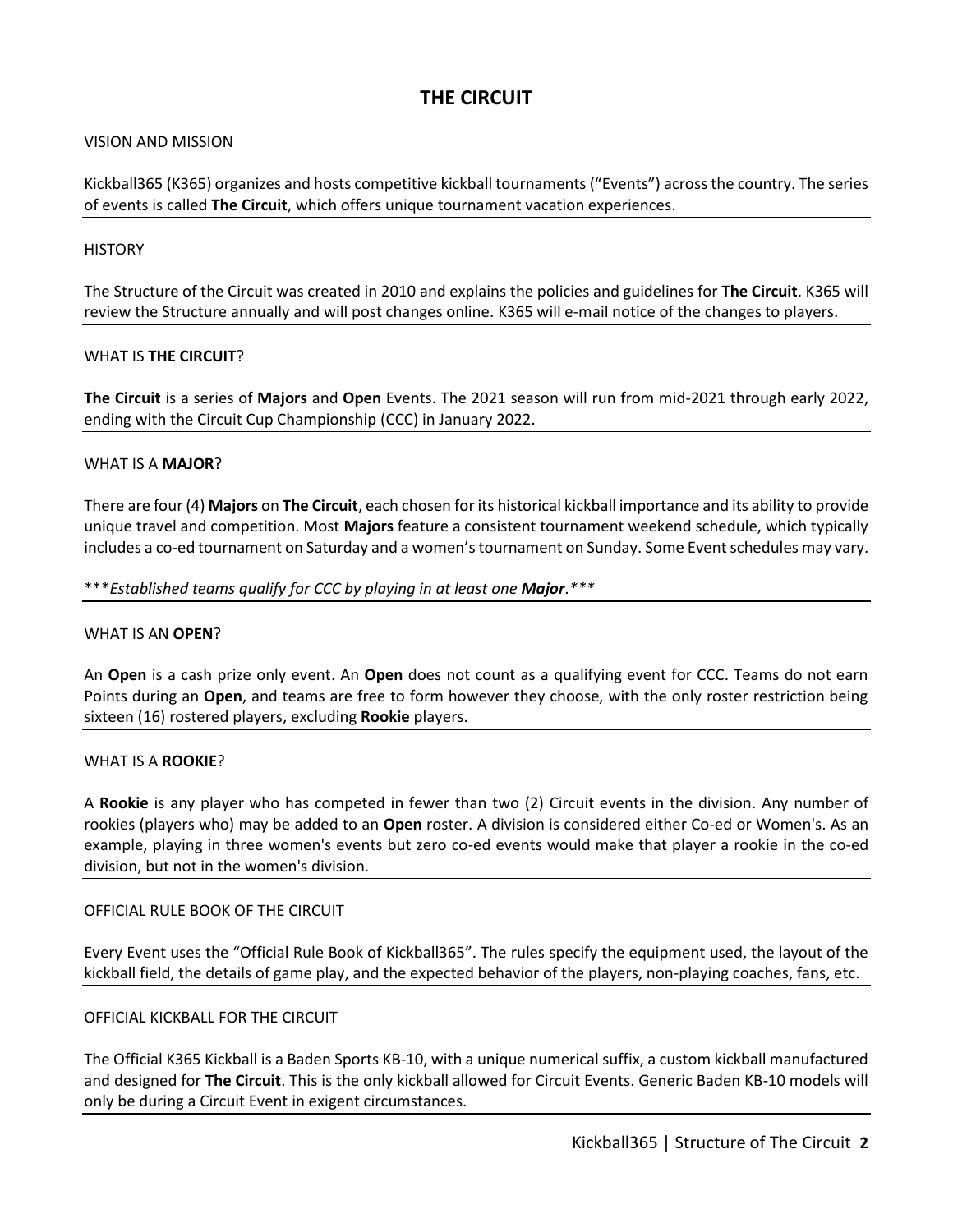# **THE CIRCUIT**

# VISION AND MISSION

Kickball365 (K365) organizes and hosts competitive kickball tournaments ("Events") across the country. The series of events is called **The Circuit**, which offers unique tournament vacation experiences.

# **HISTORY**

The Structure of the Circuit was created in 2010 and explains the policies and guidelines for **The Circuit**. K365 will review the Structure annually and will post changes online. K365 will e-mail notice of the changes to players.

#### WHAT IS **THE CIRCUIT**?

**The Circuit** is a series of **Majors** and **Open** Events. The 2021 season will run from mid-2021 through early 2022, ending with the Circuit Cup Championship (CCC) in January 2022.

#### WHAT IS A **MAJOR**?

There are four (4) **Majors** on **The Circuit**, each chosen for its historical kickball importance and its ability to provide unique travel and competition. Most **Majors** feature a consistent tournament weekend schedule, which typically includes a co-ed tournament on Saturday and a women's tournament on Sunday. Some Event schedules may vary.

#### \*\*\**Established teams qualify for CCC by playing in at least one Major*.*\*\*\**

# WHAT IS AN **OPEN**?

An **Open** is a cash prize only event. An **Open** does not count as a qualifying event for CCC. Teams do not earn Points during an **Open**, and teams are free to form however they choose, with the only roster restriction being sixteen (16) rostered players, excluding **Rookie** players.

#### WHAT IS A **ROOKIE**?

A **Rookie** is any player who has competed in fewer than two (2) Circuit events in the division. Any number of rookies (players who) may be added to an **Open** roster. A division is considered either Co-ed or Women's. As an example, playing in three women's events but zero co-ed events would make that player a rookie in the co-ed division, but not in the women's division.

# OFFICIAL RULE BOOK OF THE CIRCUIT

Every Event uses the "Official Rule Book of Kickball365". The rules specify the equipment used, the layout of the kickball field, the details of game play, and the expected behavior of the players, non-playing coaches, fans, etc.

# OFFICIAL KICKBALL FOR THE CIRCUIT

The Official K365 Kickball is a Baden Sports KB-10, with a unique numerical suffix, a custom kickball manufactured and designed for **The Circuit**. This is the only kickball allowed for Circuit Events. Generic Baden KB-10 models will only be during a Circuit Event in exigent circumstances.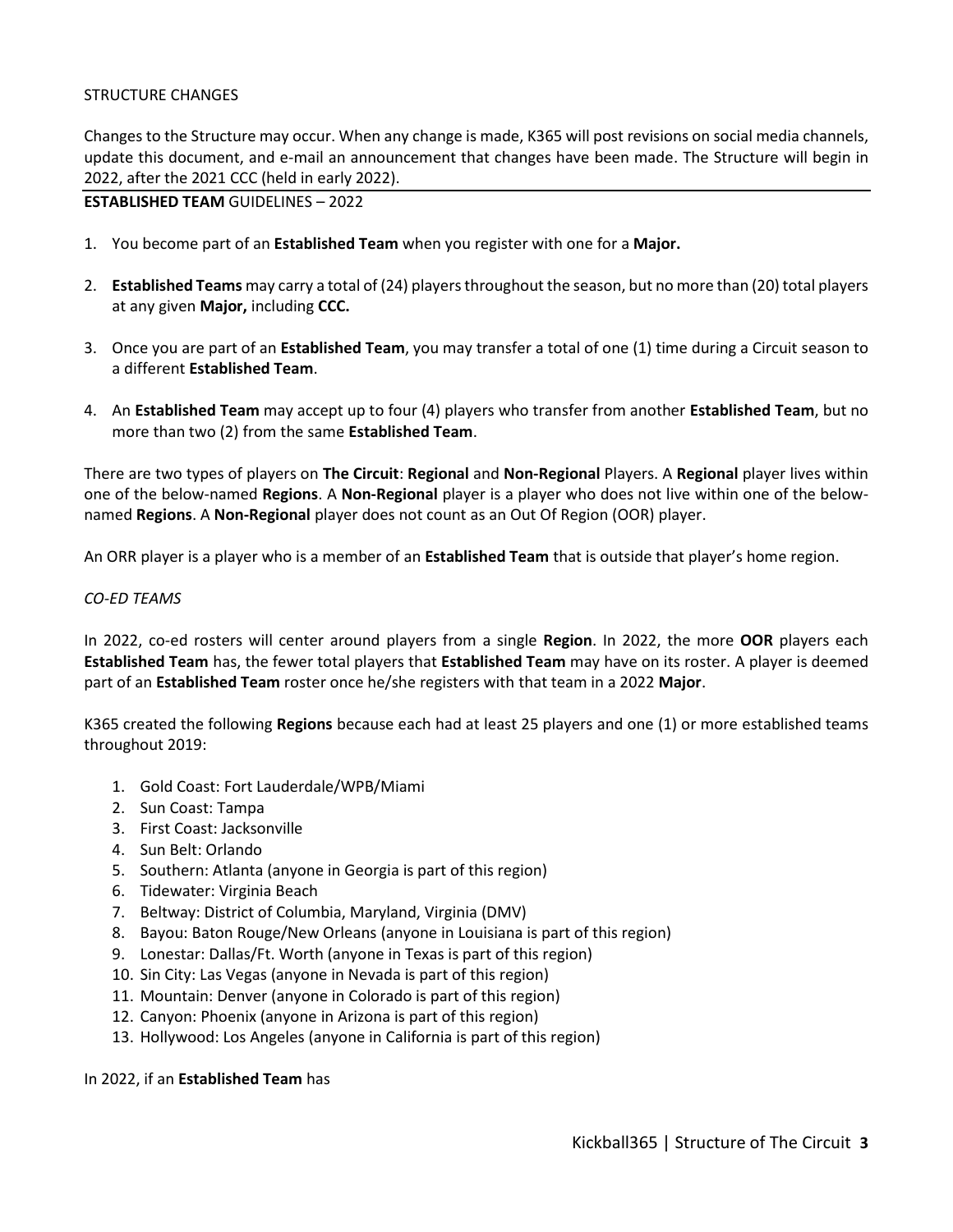# STRUCTURE CHANGES

Changes to the Structure may occur. When any change is made, K365 will post revisions on social media channels, update this document, and e-mail an announcement that changes have been made. The Structure will begin in 2022, after the 2021 CCC (held in early 2022).

## **ESTABLISHED TEAM** GUIDELINES – 2022

- 1. You become part of an **Established Team** when you register with one for a **Major.**
- 2. **Established Teams** may carry a total of (24) players throughout the season, but no more than (20) total players at any given **Major,** including **CCC.**
- 3. Once you are part of an **Established Team**, you may transfer a total of one (1) time during a Circuit season to a different **Established Team**.
- 4. An **Established Team** may accept up to four (4) players who transfer from another **Established Team**, but no more than two (2) from the same **Established Team**.

There are two types of players on **The Circuit**: **Regional** and **Non-Regional** Players. A **Regional** player lives within one of the below-named **Regions**. A **Non-Regional** player is a player who does not live within one of the belownamed **Regions**. A **Non-Regional** player does not count as an Out Of Region (OOR) player.

An ORR player is a player who is a member of an **Established Team** that is outside that player's home region.

#### *CO-ED TEAMS*

In 2022, co-ed rosters will center around players from a single **Region**. In 2022, the more **OOR** players each **Established Team** has, the fewer total players that **Established Team** may have on its roster. A player is deemed part of an **Established Team** roster once he/she registers with that team in a 2022 **Major**.

K365 created the following **Regions** because each had at least 25 players and one (1) or more established teams throughout 2019:

- 1. Gold Coast: Fort Lauderdale/WPB/Miami
- 2. Sun Coast: Tampa
- 3. First Coast: Jacksonville
- 4. Sun Belt: Orlando
- 5. Southern: Atlanta (anyone in Georgia is part of this region)
- 6. Tidewater: Virginia Beach
- 7. Beltway: District of Columbia, Maryland, Virginia (DMV)
- 8. Bayou: Baton Rouge/New Orleans (anyone in Louisiana is part of this region)
- 9. Lonestar: Dallas/Ft. Worth (anyone in Texas is part of this region)
- 10. Sin City: Las Vegas (anyone in Nevada is part of this region)
- 11. Mountain: Denver (anyone in Colorado is part of this region)
- 12. Canyon: Phoenix (anyone in Arizona is part of this region)
- 13. Hollywood: Los Angeles (anyone in California is part of this region)

#### In 2022, if an **Established Team** has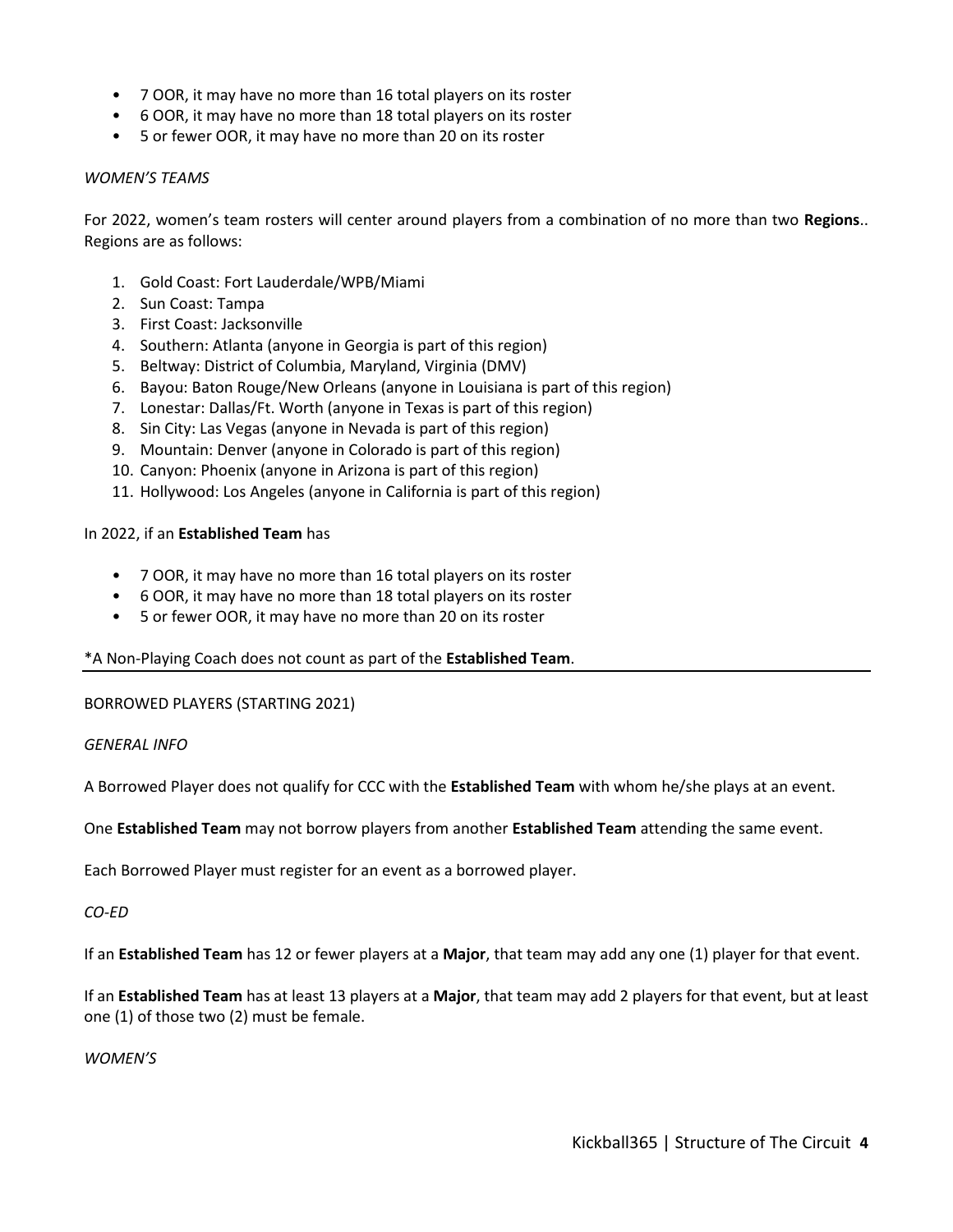- 7 OOR, it may have no more than 16 total players on its roster
- 6 OOR, it may have no more than 18 total players on its roster
- 5 or fewer OOR, it may have no more than 20 on its roster

#### *WOMEN'S TEAMS*

For 2022, women's team rosters will center around players from a combination of no more than two **Regions**.. Regions are as follows:

- 1. Gold Coast: Fort Lauderdale/WPB/Miami
- 2. Sun Coast: Tampa
- 3. First Coast: Jacksonville
- 4. Southern: Atlanta (anyone in Georgia is part of this region)
- 5. Beltway: District of Columbia, Maryland, Virginia (DMV)
- 6. Bayou: Baton Rouge/New Orleans (anyone in Louisiana is part of this region)
- 7. Lonestar: Dallas/Ft. Worth (anyone in Texas is part of this region)
- 8. Sin City: Las Vegas (anyone in Nevada is part of this region)
- 9. Mountain: Denver (anyone in Colorado is part of this region)
- 10. Canyon: Phoenix (anyone in Arizona is part of this region)
- 11. Hollywood: Los Angeles (anyone in California is part of this region)

#### In 2022, if an **Established Team** has

- 7 OOR, it may have no more than 16 total players on its roster
- 6 OOR, it may have no more than 18 total players on its roster
- 5 or fewer OOR, it may have no more than 20 on its roster

# \*A Non-Playing Coach does not count as part of the **Established Team**.

BORROWED PLAYERS (STARTING 2021)

# *GENERAL INFO*

A Borrowed Player does not qualify for CCC with the **Established Team** with whom he/she plays at an event.

One **Established Team** may not borrow players from another **Established Team** attending the same event.

Each Borrowed Player must register for an event as a borrowed player.

# *CO-ED*

If an **Established Team** has 12 or fewer players at a **Major**, that team may add any one (1) player for that event.

If an **Established Team** has at least 13 players at a **Major**, that team may add 2 players for that event, but at least one (1) of those two (2) must be female.

*WOMEN'S*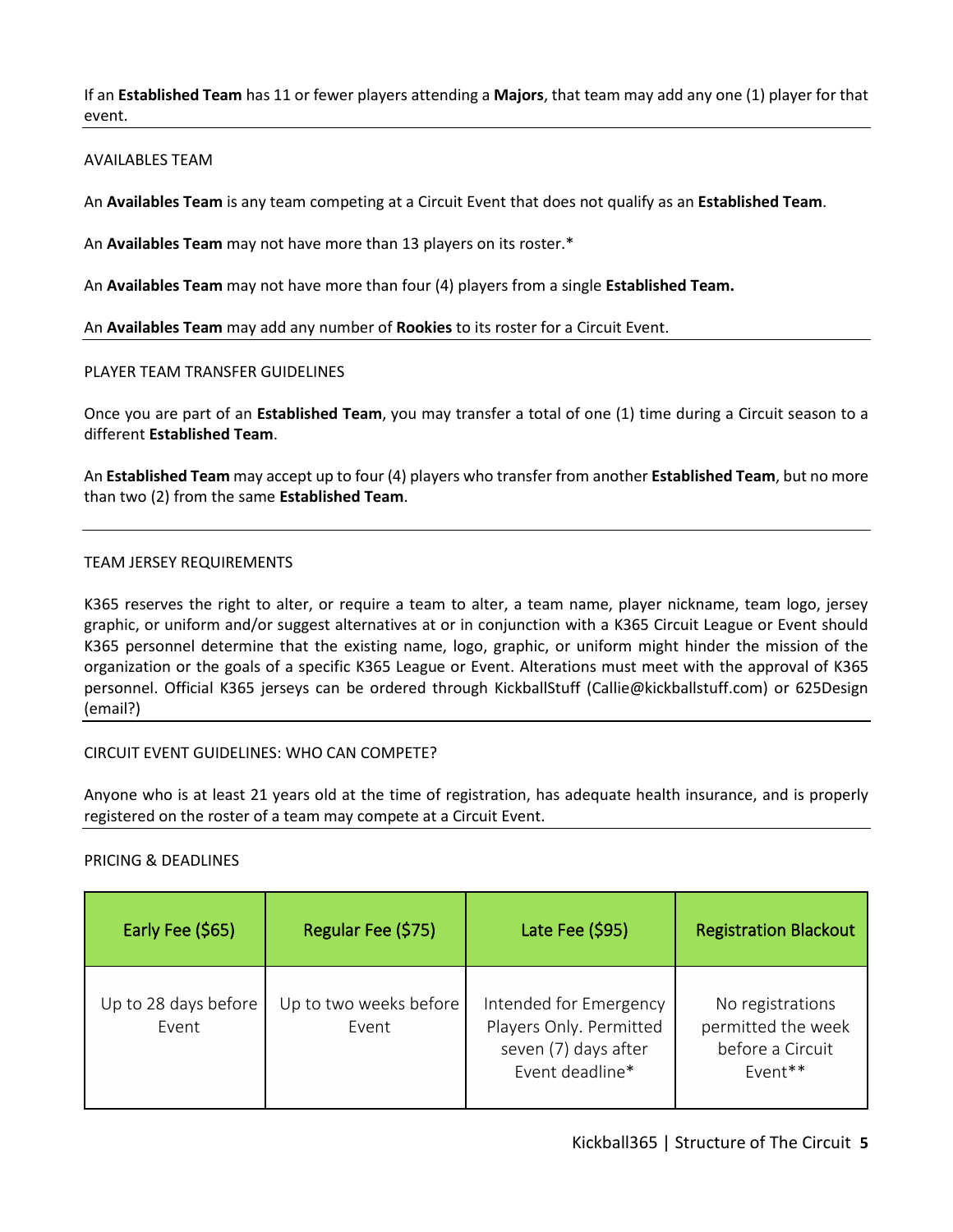If an **Established Team** has 11 or fewer players attending a **Majors**, that team may add any one (1) player for that event.

#### AVAILABLES TEAM

An **Availables Team** is any team competing at a Circuit Event that does not qualify as an **Established Team**.

An **Availables Team** may not have more than 13 players on its roster.\*

An **Availables Team** may not have more than four (4) players from a single **Established Team.**

An **Availables Team** may add any number of **Rookies** to its roster for a Circuit Event.

#### PLAYER TEAM TRANSFER GUIDELINES

Once you are part of an **Established Team**, you may transfer a total of one (1) time during a Circuit season to a different **Established Team**.

An **Established Team** may accept up to four (4) players who transfer from another **Established Team**, but no more than two (2) from the same **Established Team**.

#### TEAM JERSEY REQUIREMENTS

K365 reserves the right to alter, or require a team to alter, a team name, player nickname, team logo, jersey graphic, or uniform and/or suggest alternatives at or in conjunction with a K365 Circuit League or Event should K365 personnel determine that the existing name, logo, graphic, or uniform might hinder the mission of the organization or the goals of a specific K365 League or Event. Alterations must meet with the approval of K365 personnel. Official K365 jerseys can be ordered through KickballStuff (Callie@kickballstuff.com) or 625Design (email?)

# CIRCUIT EVENT GUIDELINES: WHO CAN COMPETE?

Anyone who is at least 21 years old at the time of registration, has adequate health insurance, and is properly registered on the roster of a team may compete at a Circuit Event.

#### PRICING & DEADLINES

| Early Fee (\$65)              | Regular Fee (\$75)              | Late Fee (\$95)                                                                              | <b>Registration Blackout</b>                                          |
|-------------------------------|---------------------------------|----------------------------------------------------------------------------------------------|-----------------------------------------------------------------------|
| Up to 28 days before<br>Fvent | Up to two weeks before<br>Event | Intended for Emergency<br>Players Only. Permitted<br>seven (7) days after<br>Event deadline* | No registrations<br>permitted the week<br>before a Circuit<br>Event** |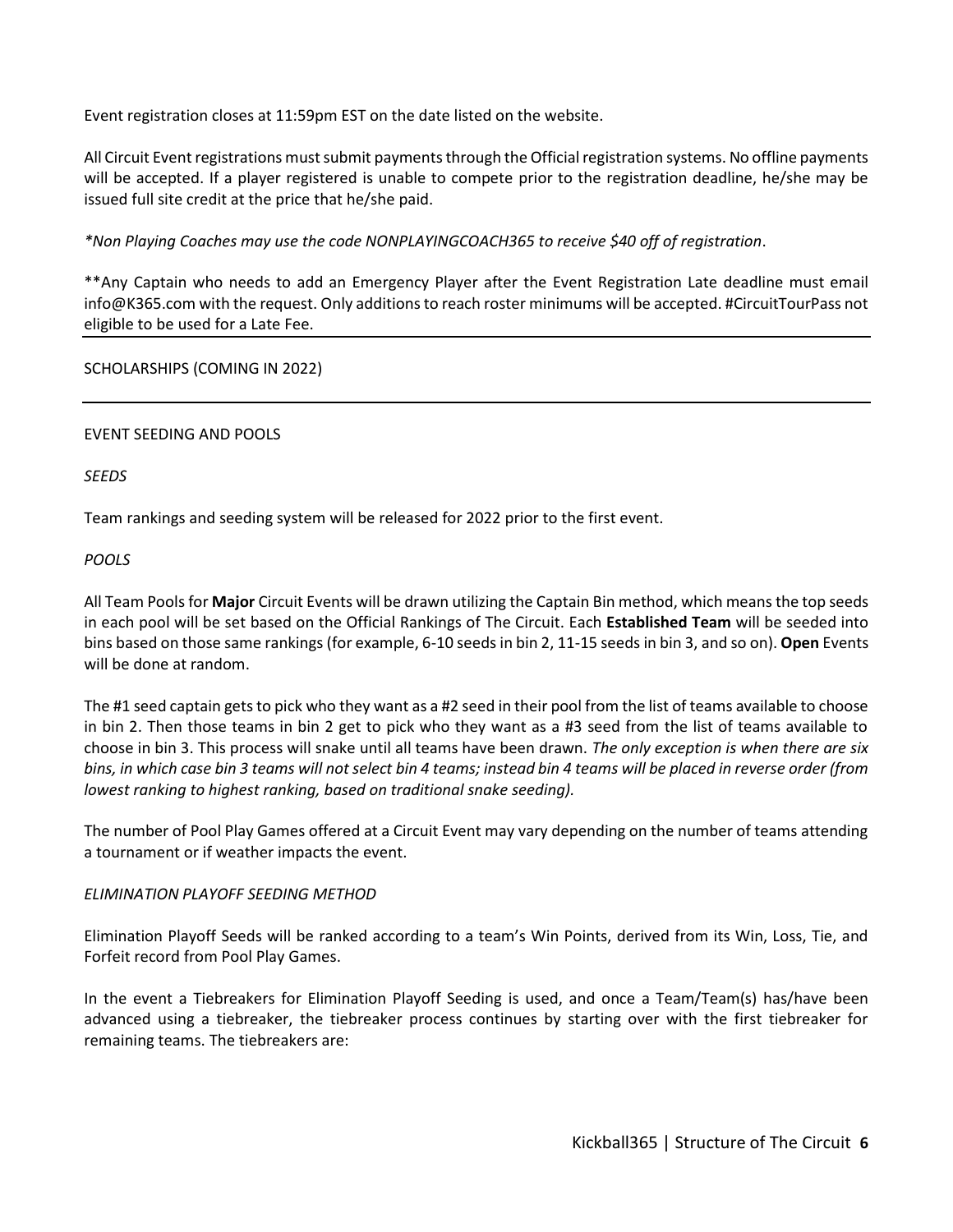Event registration closes at 11:59pm EST on the date listed on the website.

All Circuit Event registrations must submit payments through the Official registration systems. No offline payments will be accepted. If a player registered is unable to compete prior to the registration deadline, he/she may be issued full site credit at the price that he/she paid.

*\*Non Playing Coaches may use the code NONPLAYINGCOACH365 to receive \$40 off of registration*.

\*\*Any Captain who needs to add an Emergency Player after the Event Registration Late deadline must email info@K365.com with the request. Only additions to reach roster minimums will be accepted. #CircuitTourPass not eligible to be used for a Late Fee.

# SCHOLARSHIPS (COMING IN 2022)

# EVENT SEEDING AND POOLS

# *SEEDS*

Team rankings and seeding system will be released for 2022 prior to the first event.

# *POOLS*

All Team Pools for **Major** Circuit Events will be drawn utilizing the Captain Bin method, which means the top seeds in each pool will be set based on the Official Rankings of The Circuit. Each **Established Team** will be seeded into bins based on those same rankings (for example, 6-10 seeds in bin 2, 11-15 seeds in bin 3, and so on). **Open** Events will be done at random.

The #1 seed captain gets to pick who they want as a #2 seed in their pool from the list of teams available to choose in bin 2. Then those teams in bin 2 get to pick who they want as a #3 seed from the list of teams available to choose in bin 3. This process will snake until all teams have been drawn. *The only exception is when there are six bins, in which case bin 3 teams will not select bin 4 teams; instead bin 4 teams will be placed in reverse order (from lowest ranking to highest ranking, based on traditional snake seeding).*

The number of Pool Play Games offered at a Circuit Event may vary depending on the number of teams attending a tournament or if weather impacts the event.

# *ELIMINATION PLAYOFF SEEDING METHOD*

Elimination Playoff Seeds will be ranked according to a team's Win Points, derived from its Win, Loss, Tie, and Forfeit record from Pool Play Games.

In the event a Tiebreakers for Elimination Playoff Seeding is used, and once a Team/Team(s) has/have been advanced using a tiebreaker, the tiebreaker process continues by starting over with the first tiebreaker for remaining teams. The tiebreakers are: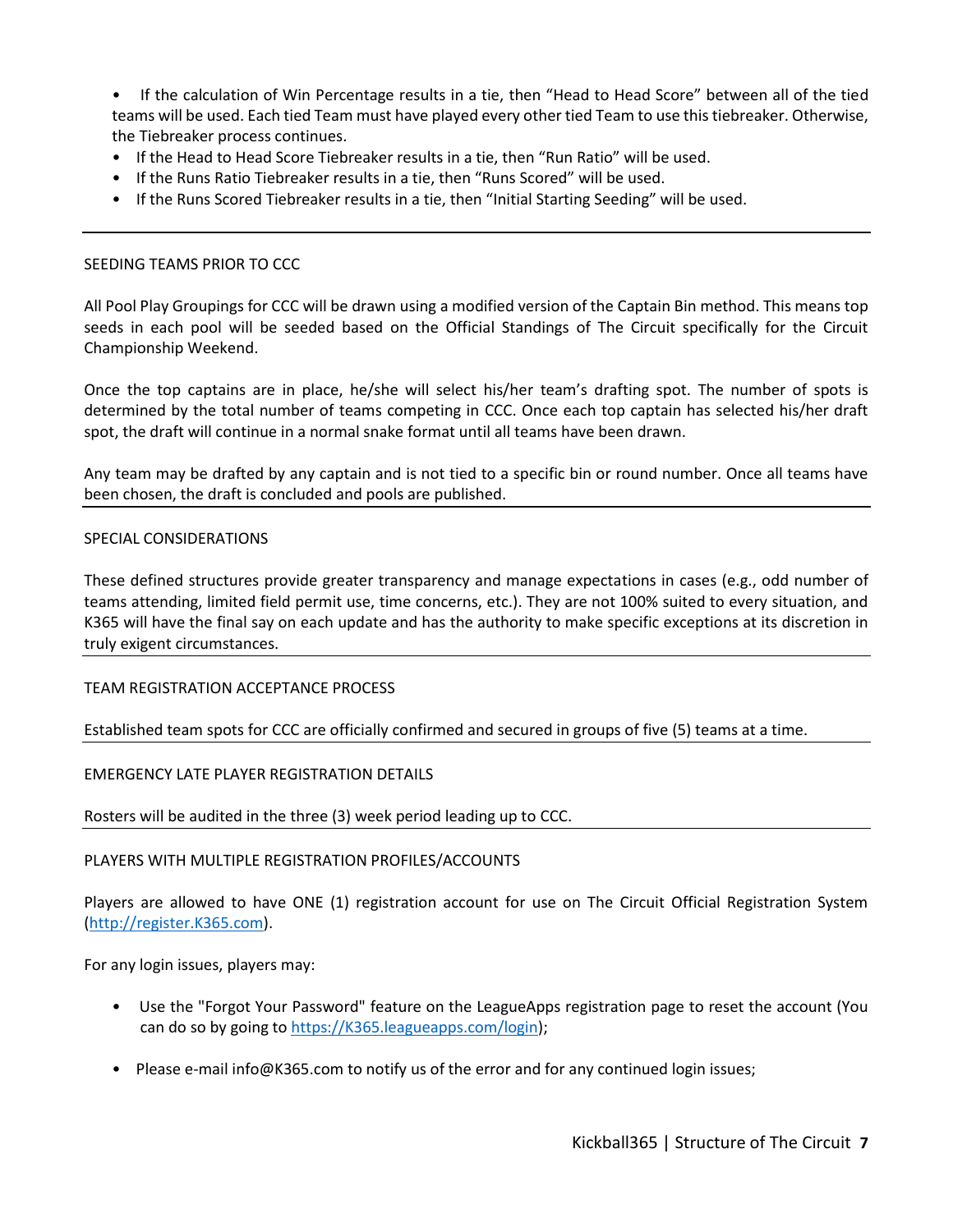• If the calculation of Win Percentage results in a tie, then "Head to Head Score" between all of the tied teams will be used. Each tied Team must have played every other tied Team to use this tiebreaker. Otherwise, the Tiebreaker process continues.

- If the Head to Head Score Tiebreaker results in a tie, then "Run Ratio" will be used.
- If the Runs Ratio Tiebreaker results in a tie, then "Runs Scored" will be used.
- If the Runs Scored Tiebreaker results in a tie, then "Initial Starting Seeding" will be used.

## SEEDING TEAMS PRIOR TO CCC

All Pool Play Groupings for CCC will be drawn using a modified version of the Captain Bin method. This means top seeds in each pool will be seeded based on the Official Standings of The Circuit specifically for the Circuit Championship Weekend.

Once the top captains are in place, he/she will select his/her team's drafting spot. The number of spots is determined by the total number of teams competing in CCC. Once each top captain has selected his/her draft spot, the draft will continue in a normal snake format until all teams have been drawn.

Any team may be drafted by any captain and is not tied to a specific bin or round number. Once all teams have been chosen, the draft is concluded and pools are published.

#### SPECIAL CONSIDERATIONS

These defined structures provide greater transparency and manage expectations in cases (e.g., odd number of teams attending, limited field permit use, time concerns, etc.). They are not 100% suited to every situation, and K365 will have the final say on each update and has the authority to make specific exceptions at its discretion in truly exigent circumstances.

TEAM REGISTRATION ACCEPTANCE PROCESS

Established team spots for CCC are officially confirmed and secured in groups of five (5) teams at a time.

#### EMERGENCY LATE PLAYER REGISTRATION DETAILS

Rosters will be audited in the three (3) week period leading up to CCC.

#### PLAYERS WITH MULTIPLE REGISTRATION PROFILES/ACCOUNTS

Players are allowed to have ONE (1) registration account for use on The Circuit Official Registration System [\(http://register.K365.com\)](http://register.k365.com/).

For any login issues, players may:

- Use the "Forgot Your Password" feature on the LeagueApps registration page to reset the account (You can do so by going to [https://K365.leagueapps.com/login\)](https://k365.leagueapps.com/login);
- Please e-mail info@K365.com to notify us of the error and for any continued login issues;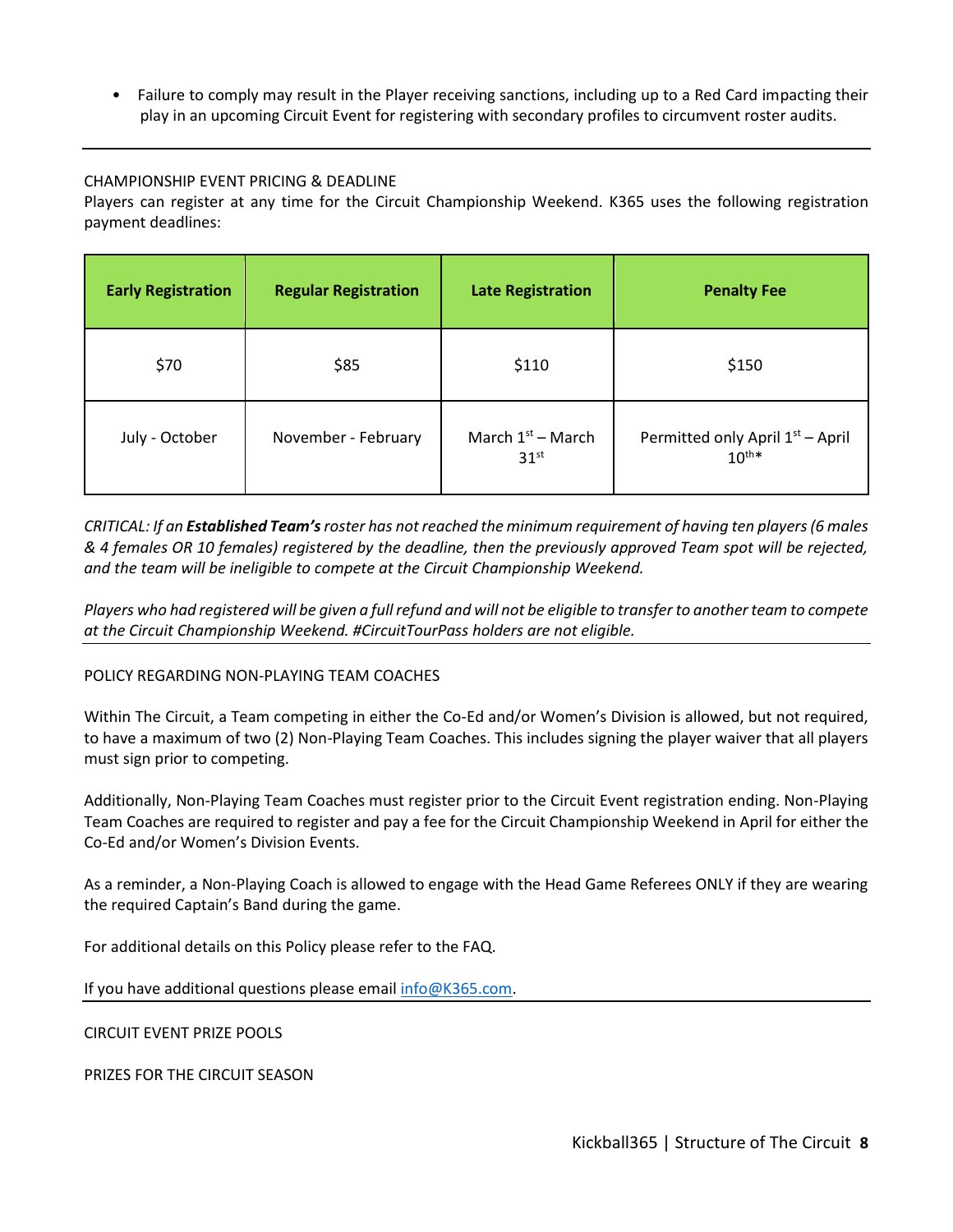• Failure to comply may result in the Player receiving sanctions, including up to a Red Card impacting their play in an upcoming Circuit Event for registering with secondary profiles to circumvent roster audits.

# CHAMPIONSHIP EVENT PRICING & DEADLINE

Players can register at any time for the Circuit Championship Weekend. K365 uses the following registration payment deadlines:

| <b>Early Registration</b> | <b>Regular Registration</b> | <b>Late Registration</b>                | <b>Penalty Fee</b>                                         |
|---------------------------|-----------------------------|-----------------------------------------|------------------------------------------------------------|
| \$70                      | \$85                        | \$110                                   | \$150                                                      |
| July - October            | November - February         | March $1st$ – March<br>31 <sup>st</sup> | Permitted only April 1 <sup>st</sup> - April<br>$10^{th*}$ |

*CRITICAL: If an Established Team'sroster has not reached the minimum requirement of having ten players (6 males & 4 females OR 10 females) registered by the deadline, then the previously approved Team spot will be rejected, and the team will be ineligible to compete at the Circuit Championship Weekend.*

*Players who had registered will be given a full refund and will not be eligible to transfer to another team to compete at the Circuit Championship Weekend. #CircuitTourPass holders are not eligible.*

# POLICY REGARDING NON-PLAYING TEAM COACHES

Within The Circuit, a Team competing in either the Co-Ed and/or Women's Division is allowed, but not required, to have a maximum of two (2) Non-Playing Team Coaches. This includes signing the player waiver that all players must sign prior to competing.

Additionally, Non-Playing Team Coaches must register prior to the Circuit Event registration ending. Non-Playing Team Coaches are required to register and pay a fee for the Circuit Championship Weekend in April for either the Co-Ed and/or Women's Division Events.

As a reminder, a Non-Playing Coach is allowed to engage with the Head Game Referees ONLY if they are wearing the required Captain's Band during the game.

For additional details on this Policy please refer to the FAQ.

If you have additional questions please email [info@K365.com.](mailto:info@K365.com)

CIRCUIT EVENT PRIZE POOLS

PRIZES FOR THE CIRCUIT SEASON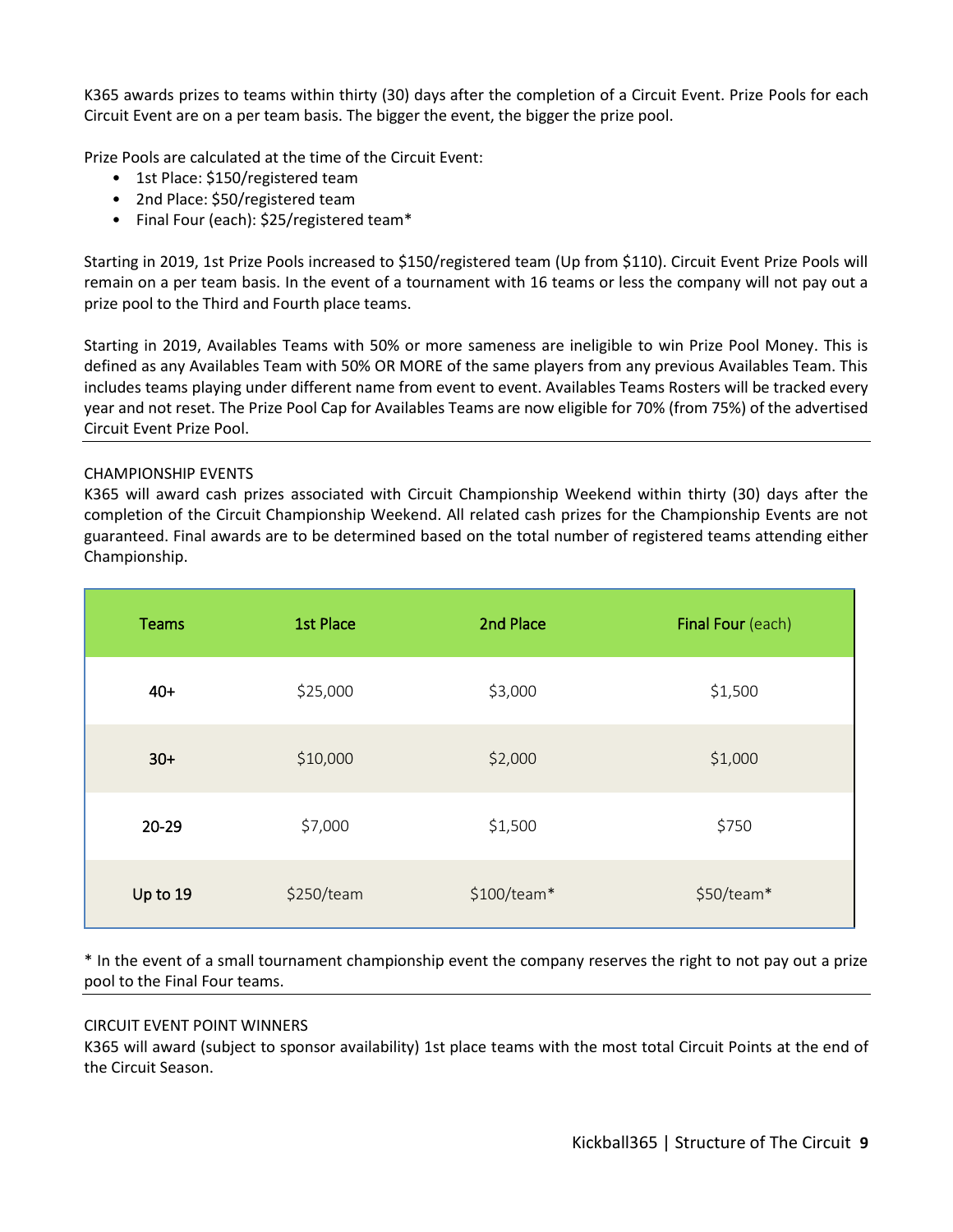K365 awards prizes to teams within thirty (30) days after the completion of a Circuit Event. Prize Pools for each Circuit Event are on a per team basis. The bigger the event, the bigger the prize pool.

Prize Pools are calculated at the time of the Circuit Event:

- 1st Place: \$150/registered team
- 2nd Place: \$50/registered team
- Final Four (each): \$25/registered team\*

Starting in 2019, 1st Prize Pools increased to \$150/registered team (Up from \$110). Circuit Event Prize Pools will remain on a per team basis. In the event of a tournament with 16 teams or less the company will not pay out a prize pool to the Third and Fourth place teams.

Starting in 2019, Availables Teams with 50% or more sameness are ineligible to win Prize Pool Money. This is defined as any Availables Team with 50% OR MORE of the same players from any previous Availables Team. This includes teams playing under different name from event to event. Availables Teams Rosters will be tracked every year and not reset. The Prize Pool Cap for Availables Teams are now eligible for 70% (from 75%) of the advertised Circuit Event Prize Pool.

# CHAMPIONSHIP EVENTS

K365 will award cash prizes associated with Circuit Championship Weekend within thirty (30) days after the completion of the Circuit Championship Weekend. All related cash prizes for the Championship Events are not guaranteed. Final awards are to be determined based on the total number of registered teams attending either Championship.

| <b>Teams</b> | <b>1st Place</b> | 2nd Place    | Final Four (each) |
|--------------|------------------|--------------|-------------------|
| $40+$        | \$25,000         | \$3,000      | \$1,500           |
| $30+$        | \$10,000         | \$2,000      | \$1,000           |
| $20 - 29$    | \$7,000          | \$1,500      | \$750             |
| Up to 19     | \$250/team       | $$100/team*$ | \$50/team*        |

\* In the event of a small tournament championship event the company reserves the right to not pay out a prize pool to the Final Four teams.

#### CIRCUIT EVENT POINT WINNERS

K365 will award (subject to sponsor availability) 1st place teams with the most total Circuit Points at the end of the Circuit Season.